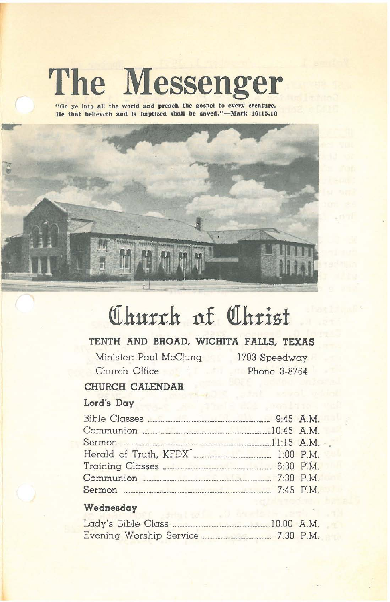# **The Messenger**

**"Go ye Into all the world and preach the gospel to every creature.** He that believeth and is baptized shall be saved."-Mark  $16:15,16$ 



# **QIhurrh 11£ QIhrisf**

# **TENTH AND BROAD, WICHITA FALLS, TEXAS**

Minister: Paul McClung Church Office

1703 Speedway Phone 3-8764

## **CHURCH CALENDAR**

#### **Lord's Day**

| Communion 20145 A.M.                               |  |  |
|----------------------------------------------------|--|--|
|                                                    |  |  |
|                                                    |  |  |
| Training Classes <b>Election Classes</b> 6:30 P.M. |  |  |
| Communion 230 P.M.                                 |  |  |
|                                                    |  |  |

### **Wednesday**

| Lady's Bible Class.     | $10:00$ A.M. |
|-------------------------|--------------|
| Evening Worship Service | $7:30$ P.M.  |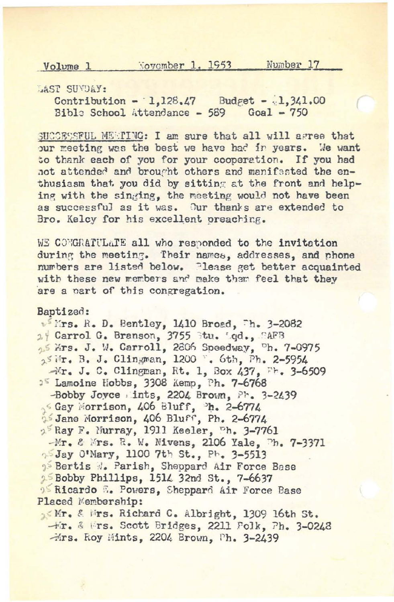November 1, 1953 Number 17 Volume 1

LAST SUVDAY:

Contribution - 1,128.47 Budget - 1,341.00 Bible School Attendance - 589 Goal - 750

SUCCESSFUL MEMPING: I am sure that all will agree that our meeting was the best we have had in years. We want to thank each of you for your cooperation. If you had not attended and brought others and manifested the enthusiasm that you did by sitting at the front and helping with the singing, the meeting would not have been as successful as it was. Our thanks are extended to Bro. Kelcy for his excellent preaching.

WE CONGRATULATE all who responded to the invitation during the meeting. Their names, addresses, and phone numbers are listed below. Please get better acquainted with these new members and make them feel that they are a part of this congregation.

Baptized:

Wirs. R. D. Bentley, 1410 Broad, Th. 3-2082 2 Carrol G. Branson, 3755 Stu. '.gd., "AFB of Mrs. J. W. Carroll, 2806 Speedway, <sup>o</sup>h. 7-0975 25 Mr. B. J. Clingman, 1200 . 6th, Ph. 2-5954 -Mr. J. C. Clingman, Rt. 1, Box 437, Fr. 3-6509 <sup>25</sup> Lamoine Hobbs, 3308 Kemp, Ph. 7-6768 -Bobby Joyce ints, 2204 Brown, Ph. 3-2439 Gay Morrison, 406 Bluff, <sup>b</sup>h. 2-6774 35 Jane Morrison, 406 Bluff, Ph. 2-6774 2<sup>5</sup> Ray F. Murray, 1911 Keeler, <sup>ph.</sup> 3-7761 -Mr. & Mrs. R. W. Mivens, 2106 Yale, Ph. 7-3371 55 Jay O'Mary, 1100 7th St., Ph. 3-5513 Bertis d. Parish, Sheppard Air Force Base 25 Bobby Phillips, 1514 32nd St., 7-6637 <sup>95</sup> Ricardo **6. Powers**, Sheppard Air Force Base Placed Membership:

16th, & Mrs. Richard C. Albright, 1309 16th St. -Fr. & Frs. Scott Bridges, 2211 Polk, Ph. 3-0248 Hrs. Roy Mints, 2204 Brown, Ph. 3-2439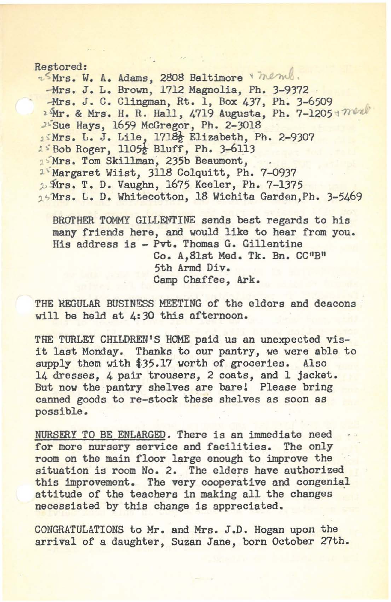#### Restored:

2<sup>5</sup>Mrs. W. A. Adams, 2808 Baltimore & memb. -Mrs. J. L. Brown, 1712 Magnolia, Ph. 3-9372<br>-Mrs. J. C. Clingman, Rt. 1, Box 437, Ph. 3-6509 <sup>2</sup>Mr. & Mrs. H. R. Hall, 4719 Augusta, Ph. 7-12051 men. <sup>J.Sue</sup> Hays, 1659 McGregor, Ph. 2-3018 15Mrs. L. J. Lile, 1718} Elizabeth, Ph. 2-9307  $25$  Bob Roger, 1105 $\frac{1}{2}$  Bluff, Ph. 3-6113 1<sup>5</sup>Mrs. Tom Skillman, 235b Beaumont, <sup>25</sup> Margaret Wiist, 3118 Colquitt, Ph. 7-0937 1 Mrs. T. D. Vaughn, 1675 Keeler, Ph. 7-1375 15Mrs. L. D. Whitecotton, 18 Wichita Garden, Ph. 3-5469

BROTHER TOMMY GILLENTINE sends best regards to his many friends here, and would like to hear from you. His address is - Pvt. Thomas G. Gillentine Co. A,Slst Med. Tk. Bn. CC"B" 5th Armd Div. Camp Chaffee, Ark.

THE REGULAR BUSINESS MEETING of the elders and deacons. will be held at 4:30 this afternoon.

THE TURLEY CHILDREN'S HOME paid us an unexpected visit last Monday. Thanks to our pantry, we were able to supply them with  $$35.17$  worth of groceries. Also 14 dresses, 4 pair trousers, 2 coats, and 1 jacket. But now the pantry shelves are barel Please bring canned goods to re-stock these shelves as soon as possible.

NURSERY TO BE ENLARGED. There is an immediate need for more nursery service and facilities. The only room on the main floor large enough to improve the situation is room No. 2. The elders have authorized this improvement. The very cooperative and congenial attitude of the teachers in making all the changes necessiated by this change is appreciated.

CONGRATULATIONS to Mr. and Mrs. J.D. Hogan upon the arrival of a daughter, Suzan Jane, born October 27th.